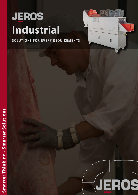# JEROS Industrial

SOLUTIONS FOR EVERY REQUIREMENTS

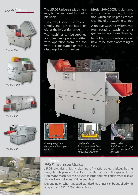### *ModelSurvey*







*Model 200XL*



*Model 300*



*Model 600*

The JEROS Universal Machine is easy to use and ideal for multiple users.

The control panel is sturdy but simple, and can be fitted on either the left or right side.

The machines can be supplied for one-man operation, either with operation from the top with a crate turner or with a discharge belt with rollers.

**Model 200-200XL** is designed with a special tunnel tilt function, which allows problem-free cleaning of the washing tunnel.

A unique washing system with four rotating washing arms guarantees optimum cleaning.

No hold-downs, so objects don't have to be sorted according to size.

**THE** 

ō

Filip



*Conveyor system For a secure feeding of crates.*

*Optional extras A stainless steel Conveyor belt enables you to wash small parts.*

*Accessories Stainless steel cage with lid – available in 2 versions.*



# *JEROS Universal Machine*

JEROS provides efficient cleaning of plastic crates, baskets, baking trays, utensils, pans, etc. Thanks to their flexibility and the special JEROS system, the machines can be used in large and small businesses alike, as they will wash all sorts of different objects.

Depending on what is needed, standard machines can be supplied with a capacity of 150-1500 crates an hour.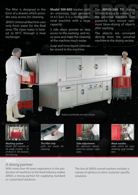The filter is designed in the form of a drawer, which provides easy access for cleaning.

JEROS Universal Machine uses only fresh water for the final rinse. The clean water is heated to 85°C through a heat exchanger.

**Model 300-800** washes with an extremely high pressure (4-4,5 bar). It is a strong industrial machine with a large capacity.

2 side doors provide an easy access to the washing- and rinse zone and make the cleaning of the machine much easier.

Soap and rinse liquid cans can be stored in the machine.

Θ

The **JEROS-200 TD** drying section is easy to connect to the universal machine. Two powerful fans ensure optimum blow-drying of objects after washing.

The objects are conveyed directly from the universal machine to the drying section.



*Washing system Model 300 consists of 44 wash nozzles – 16 of these in the bottom are moving.*



*The filter tray pulls out easily for cleaning.*



*Mobile and flexible with four wheels.*

*Side-adjustment for optimum adjustment for various crate sizes.*



*Wash nozzles with clutch for easy cleaning and installation.*

#### *A strong partner*

With more than 40 years experience in the production of machines to the food industry, makes JEROS a strong partner for supplying standard or customized solutions.

The line of JEROS tunnel washers includes a variety of options to solve customer specific solutions.